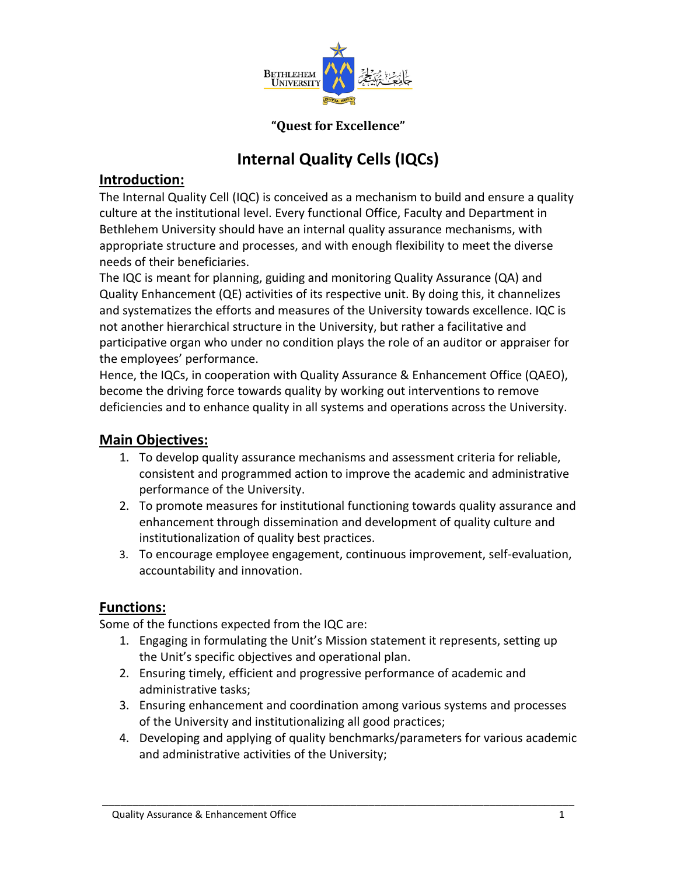

#### **"Quest for Excellence"**

# **Internal Quality Cells (IQCs)**

## **Introduction:**

The Internal Quality Cell (IQC) is conceived as a mechanism to build and ensure a quality culture at the institutional level. Every functional Office, Faculty and Department in Bethlehem University should have an internal quality assurance mechanisms, with appropriate structure and processes, and with enough flexibility to meet the diverse needs of their beneficiaries.

The IQC is meant for planning, guiding and monitoring Quality Assurance (QA) and Quality Enhancement (QE) activities of its respective unit. By doing this, it channelizes and systematizes the efforts and measures of the University towards excellence. IQC is not another hierarchical structure in the University, but rather a facilitative and participative organ who under no condition plays the role of an auditor or appraiser for the employees' performance.

Hence, the IQCs, in cooperation with Quality Assurance & Enhancement Office (QAEO), become the driving force towards quality by working out interventions to remove deficiencies and to enhance quality in all systems and operations across the University.

## **Main Objectives:**

- 1. To develop quality assurance mechanisms and assessment criteria for reliable, consistent and programmed action to improve the academic and administrative performance of the University.
- 2. To promote measures for institutional functioning towards quality assurance and enhancement through dissemination and development of quality culture and institutionalization of quality best practices.
- 3. To encourage employee engagement, continuous improvement, self-evaluation, accountability and innovation.

#### **Functions:**

Some of the functions expected from the IQC are:

- 1. Engaging in formulating the Unit's Mission statement it represents, setting up the Unit's specific objectives and operational plan.
- 2. Ensuring timely, efficient and progressive performance of academic and administrative tasks;
- 3. Ensuring enhancement and coordination among various systems and processes of the University and institutionalizing all good practices;
- 4. Developing and applying of quality benchmarks/parameters for various academic and administrative activities of the University;

\_\_\_\_\_\_\_\_\_\_\_\_\_\_\_\_\_\_\_\_\_\_\_\_\_\_\_\_\_\_\_\_\_\_\_\_\_\_\_\_\_\_\_\_\_\_\_\_\_\_\_\_\_\_\_\_\_\_\_\_\_\_\_\_\_\_\_\_\_\_\_\_\_\_\_\_\_\_